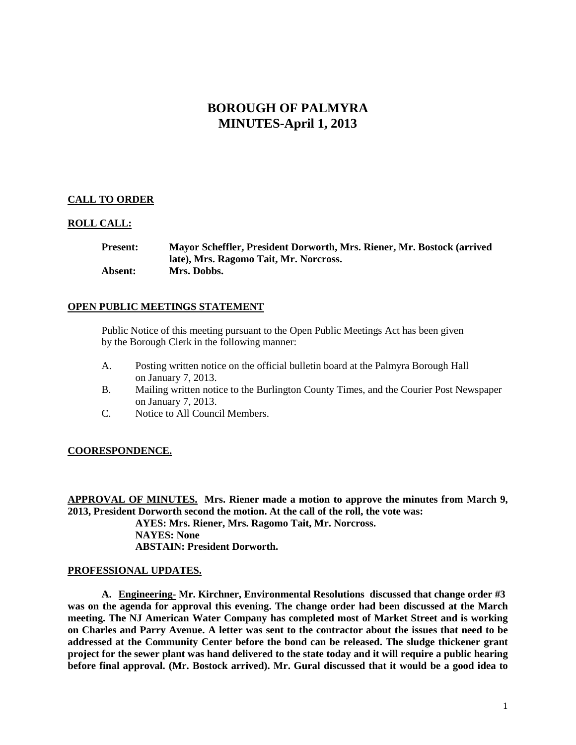# **BOROUGH OF PALMYRA MINUTES-April 1, 2013**

## **CALL TO ORDER**

## **ROLL CALL:**

**Present: Mayor Scheffler, President Dorworth, Mrs. Riener, Mr. Bostock (arrived late), Mrs. Ragomo Tait, Mr. Norcross. Absent: Mrs. Dobbs.**

## **OPEN PUBLIC MEETINGS STATEMENT**

Public Notice of this meeting pursuant to the Open Public Meetings Act has been given by the Borough Clerk in the following manner:

- A. Posting written notice on the official bulletin board at the Palmyra Borough Hall on January 7, 2013.
- B. Mailing written notice to the Burlington County Times, and the Courier Post Newspaper on January 7, 2013.
- C. Notice to All Council Members.

### **COORESPONDENCE.**

**APPROVAL OF MINUTES. Mrs. Riener made a motion to approve the minutes from March 9, 2013, President Dorworth second the motion. At the call of the roll, the vote was: AYES: Mrs. Riener, Mrs. Ragomo Tait, Mr. Norcross. NAYES: None ABSTAIN: President Dorworth.** 

### **PROFESSIONAL UPDATES.**

**A. Engineering- Mr. Kirchner, Environmental Resolutions discussed that change order #3 was on the agenda for approval this evening. The change order had been discussed at the March meeting. The NJ American Water Company has completed most of Market Street and is working on Charles and Parry Avenue. A letter was sent to the contractor about the issues that need to be addressed at the Community Center before the bond can be released. The sludge thickener grant project for the sewer plant was hand delivered to the state today and it will require a public hearing before final approval. (Mr. Bostock arrived). Mr. Gural discussed that it would be a good idea to**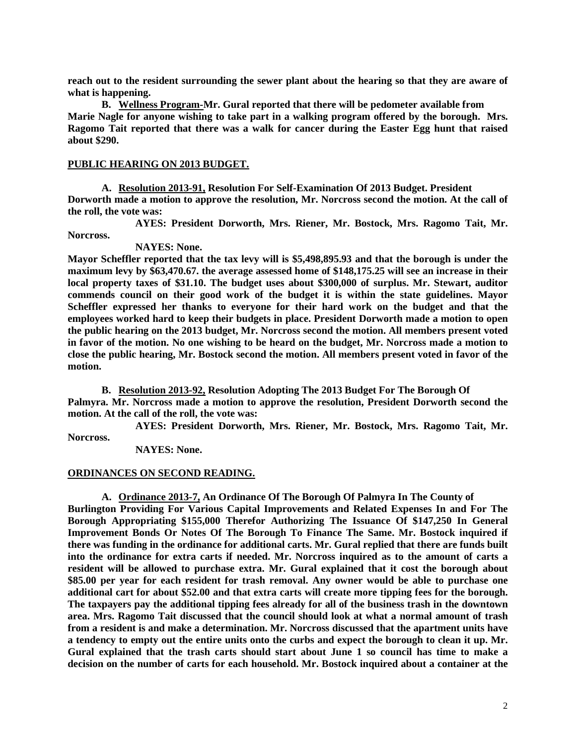**reach out to the resident surrounding the sewer plant about the hearing so that they are aware of what is happening.** 

**B. Wellness Program-Mr. Gural reported that there will be pedometer available from Marie Nagle for anyone wishing to take part in a walking program offered by the borough. Mrs. Ragomo Tait reported that there was a walk for cancer during the Easter Egg hunt that raised about \$290.**

## **PUBLIC HEARING ON 2013 BUDGET.**

**A. Resolution 2013-91, Resolution For Self-Examination Of 2013 Budget. President Dorworth made a motion to approve the resolution, Mr. Norcross second the motion. At the call of the roll, the vote was:**

**AYES: President Dorworth, Mrs. Riener, Mr. Bostock, Mrs. Ragomo Tait, Mr. Norcross.**

### **NAYES: None.**

**Mayor Scheffler reported that the tax levy will is \$5,498,895.93 and that the borough is under the maximum levy by \$63,470.67. the average assessed home of \$148,175.25 will see an increase in their local property taxes of \$31.10. The budget uses about \$300,000 of surplus. Mr. Stewart, auditor commends council on their good work of the budget it is within the state guidelines. Mayor Scheffler expressed her thanks to everyone for their hard work on the budget and that the employees worked hard to keep their budgets in place. President Dorworth made a motion to open the public hearing on the 2013 budget, Mr. Norcross second the motion. All members present voted in favor of the motion. No one wishing to be heard on the budget, Mr. Norcross made a motion to close the public hearing, Mr. Bostock second the motion. All members present voted in favor of the motion.** 

**B. Resolution 2013-92, Resolution Adopting The 2013 Budget For The Borough Of Palmyra. Mr. Norcross made a motion to approve the resolution, President Dorworth second the motion. At the call of the roll, the vote was:**

**AYES: President Dorworth, Mrs. Riener, Mr. Bostock, Mrs. Ragomo Tait, Mr. Norcross.**

**NAYES: None.** 

### **ORDINANCES ON SECOND READING.**

**A. Ordinance 2013-7, An Ordinance Of The Borough Of Palmyra In The County of Burlington Providing For Various Capital Improvements and Related Expenses In and For The Borough Appropriating \$155,000 Therefor Authorizing The Issuance Of \$147,250 In General Improvement Bonds Or Notes Of The Borough To Finance The Same. Mr. Bostock inquired if there was funding in the ordinance for additional carts. Mr. Gural replied that there are funds built into the ordinance for extra carts if needed. Mr. Norcross inquired as to the amount of carts a resident will be allowed to purchase extra. Mr. Gural explained that it cost the borough about \$85.00 per year for each resident for trash removal. Any owner would be able to purchase one additional cart for about \$52.00 and that extra carts will create more tipping fees for the borough. The taxpayers pay the additional tipping fees already for all of the business trash in the downtown area. Mrs. Ragomo Tait discussed that the council should look at what a normal amount of trash from a resident is and make a determination. Mr. Norcross discussed that the apartment units have a tendency to empty out the entire units onto the curbs and expect the borough to clean it up. Mr. Gural explained that the trash carts should start about June 1 so council has time to make a decision on the number of carts for each household. Mr. Bostock inquired about a container at the**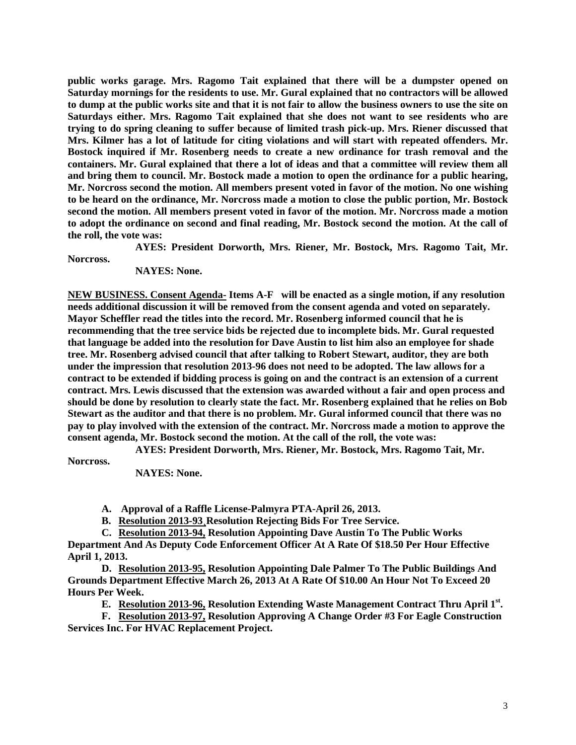**public works garage. Mrs. Ragomo Tait explained that there will be a dumpster opened on Saturday mornings for the residents to use. Mr. Gural explained that no contractors will be allowed to dump at the public works site and that it is not fair to allow the business owners to use the site on Saturdays either. Mrs. Ragomo Tait explained that she does not want to see residents who are trying to do spring cleaning to suffer because of limited trash pick-up. Mrs. Riener discussed that Mrs. Kilmer has a lot of latitude for citing violations and will start with repeated offenders. Mr. Bostock inquired if Mr. Rosenberg needs to create a new ordinance for trash removal and the containers. Mr. Gural explained that there a lot of ideas and that a committee will review them all and bring them to council. Mr. Bostock made a motion to open the ordinance for a public hearing, Mr. Norcross second the motion. All members present voted in favor of the motion. No one wishing to be heard on the ordinance, Mr. Norcross made a motion to close the public portion, Mr. Bostock second the motion. All members present voted in favor of the motion. Mr. Norcross made a motion to adopt the ordinance on second and final reading, Mr. Bostock second the motion. At the call of the roll, the vote was:**

**AYES: President Dorworth, Mrs. Riener, Mr. Bostock, Mrs. Ragomo Tait, Mr.** 

**Norcross.**

**NAYES: None.** 

**NEW BUSINESS. Consent Agenda- Items A-F will be enacted as a single motion, if any resolution needs additional discussion it will be removed from the consent agenda and voted on separately. Mayor Scheffler read the titles into the record. Mr. Rosenberg informed council that he is recommending that the tree service bids be rejected due to incomplete bids. Mr. Gural requested that language be added into the resolution for Dave Austin to list him also an employee for shade tree. Mr. Rosenberg advised council that after talking to Robert Stewart, auditor, they are both under the impression that resolution 2013-96 does not need to be adopted. The law allows for a contract to be extended if bidding process is going on and the contract is an extension of a current contract. Mrs. Lewis discussed that the extension was awarded without a fair and open process and should be done by resolution to clearly state the fact. Mr. Rosenberg explained that he relies on Bob Stewart as the auditor and that there is no problem. Mr. Gural informed council that there was no pay to play involved with the extension of the contract. Mr. Norcross made a motion to approve the consent agenda, Mr. Bostock second the motion. At the call of the roll, the vote was:**

**AYES: President Dorworth, Mrs. Riener, Mr. Bostock, Mrs. Ragomo Tait, Mr.** 

**Norcross.**

**NAYES: None.** 

**A. Approval of a Raffle License-Palmyra PTA-April 26, 2013.**

**B. Resolution 2013-93¸Resolution Rejecting Bids For Tree Service.**

**C. Resolution 2013-94, Resolution Appointing Dave Austin To The Public Works**

**Department And As Deputy Code Enforcement Officer At A Rate Of \$18.50 Per Hour Effective April 1, 2013.**

**D. Resolution 2013-95, Resolution Appointing Dale Palmer To The Public Buildings And Grounds Department Effective March 26, 2013 At A Rate Of \$10.00 An Hour Not To Exceed 20 Hours Per Week.**

**E. Resolution 2013-96, Resolution Extending Waste Management Contract Thru April 1st.**

**F. Resolution 2013-97, Resolution Approving A Change Order #3 For Eagle Construction Services Inc. For HVAC Replacement Project.**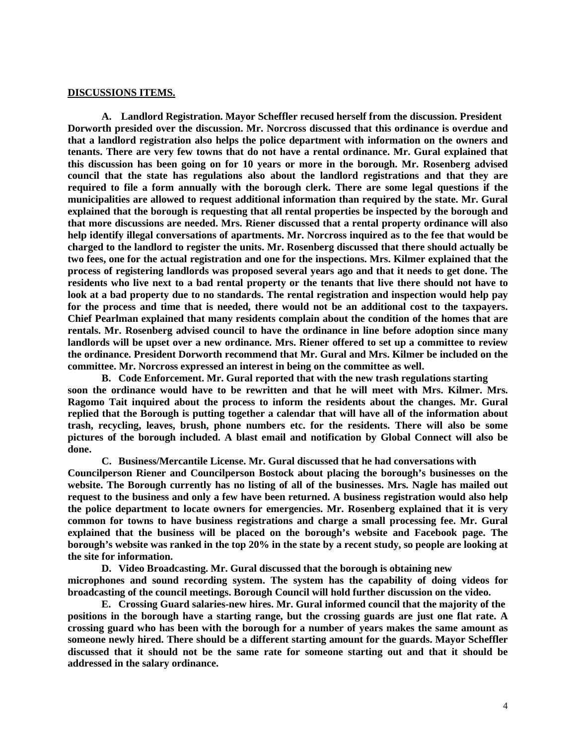#### **DISCUSSIONS ITEMS.**

**A. Landlord Registration. Mayor Scheffler recused herself from the discussion. President Dorworth presided over the discussion. Mr. Norcross discussed that this ordinance is overdue and that a landlord registration also helps the police department with information on the owners and tenants. There are very few towns that do not have a rental ordinance. Mr. Gural explained that this discussion has been going on for 10 years or more in the borough. Mr. Rosenberg advised council that the state has regulations also about the landlord registrations and that they are required to file a form annually with the borough clerk. There are some legal questions if the municipalities are allowed to request additional information than required by the state. Mr. Gural explained that the borough is requesting that all rental properties be inspected by the borough and that more discussions are needed. Mrs. Riener discussed that a rental property ordinance will also help identify illegal conversations of apartments. Mr. Norcross inquired as to the fee that would be charged to the landlord to register the units. Mr. Rosenberg discussed that there should actually be two fees, one for the actual registration and one for the inspections. Mrs. Kilmer explained that the process of registering landlords was proposed several years ago and that it needs to get done. The residents who live next to a bad rental property or the tenants that live there should not have to look at a bad property due to no standards. The rental registration and inspection would help pay for the process and time that is needed, there would not be an additional cost to the taxpayers. Chief Pearlman explained that many residents complain about the condition of the homes that are rentals. Mr. Rosenberg advised council to have the ordinance in line before adoption since many landlords will be upset over a new ordinance. Mrs. Riener offered to set up a committee to review the ordinance. President Dorworth recommend that Mr. Gural and Mrs. Kilmer be included on the committee. Mr. Norcross expressed an interest in being on the committee as well.** 

**B. Code Enforcement. Mr. Gural reported that with the new trash regulations starting soon the ordinance would have to be rewritten and that he will meet with Mrs. Kilmer. Mrs. Ragomo Tait inquired about the process to inform the residents about the changes. Mr. Gural replied that the Borough is putting together a calendar that will have all of the information about trash, recycling, leaves, brush, phone numbers etc. for the residents. There will also be some pictures of the borough included. A blast email and notification by Global Connect will also be done.** 

**C. Business/Mercantile License. Mr. Gural discussed that he had conversations with Councilperson Riener and Councilperson Bostock about placing the borough's businesses on the website. The Borough currently has no listing of all of the businesses. Mrs. Nagle has mailed out request to the business and only a few have been returned. A business registration would also help the police department to locate owners for emergencies. Mr. Rosenberg explained that it is very common for towns to have business registrations and charge a small processing fee. Mr. Gural explained that the business will be placed on the borough's website and Facebook page. The borough's website was ranked in the top 20% in the state by a recent study, so people are looking at the site for information.** 

**D. Video Broadcasting. Mr. Gural discussed that the borough is obtaining new microphones and sound recording system. The system has the capability of doing videos for broadcasting of the council meetings. Borough Council will hold further discussion on the video.**

**E. Crossing Guard salaries-new hires. Mr. Gural informed council that the majority of the positions in the borough have a starting range, but the crossing guards are just one flat rate. A crossing guard who has been with the borough for a number of years makes the same amount as someone newly hired. There should be a different starting amount for the guards. Mayor Scheffler discussed that it should not be the same rate for someone starting out and that it should be addressed in the salary ordinance.**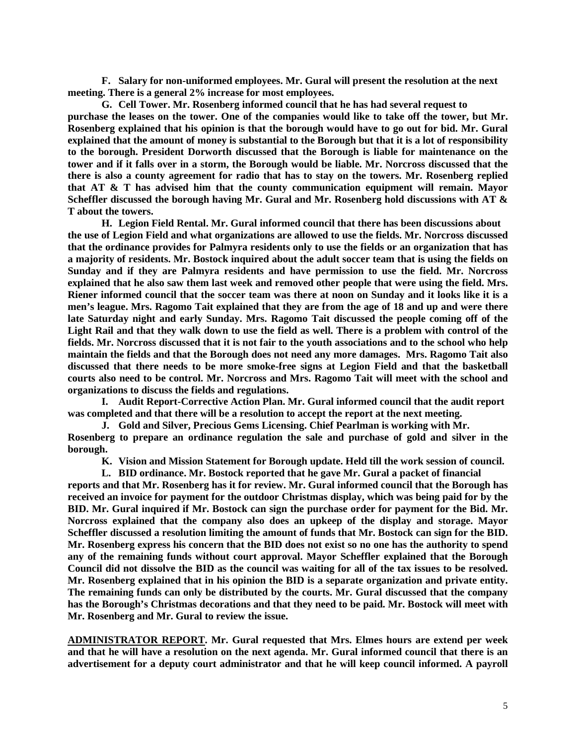**F. Salary for non-uniformed employees. Mr. Gural will present the resolution at the next meeting. There is a general 2% increase for most employees.**

**G. Cell Tower. Mr. Rosenberg informed council that he has had several request to purchase the leases on the tower. One of the companies would like to take off the tower, but Mr. Rosenberg explained that his opinion is that the borough would have to go out for bid. Mr. Gural explained that the amount of money is substantial to the Borough but that it is a lot of responsibility to the borough. President Dorworth discussed that the Borough is liable for maintenance on the tower and if it falls over in a storm, the Borough would be liable. Mr. Norcross discussed that the there is also a county agreement for radio that has to stay on the towers. Mr. Rosenberg replied that AT & T has advised him that the county communication equipment will remain. Mayor Scheffler discussed the borough having Mr. Gural and Mr. Rosenberg hold discussions with AT & T about the towers.** 

**H. Legion Field Rental. Mr. Gural informed council that there has been discussions about the use of Legion Field and what organizations are allowed to use the fields. Mr. Norcross discussed that the ordinance provides for Palmyra residents only to use the fields or an organization that has a majority of residents. Mr. Bostock inquired about the adult soccer team that is using the fields on Sunday and if they are Palmyra residents and have permission to use the field. Mr. Norcross explained that he also saw them last week and removed other people that were using the field. Mrs. Riener informed council that the soccer team was there at noon on Sunday and it looks like it is a men's league. Mrs. Ragomo Tait explained that they are from the age of 18 and up and were there late Saturday night and early Sunday. Mrs. Ragomo Tait discussed the people coming off of the Light Rail and that they walk down to use the field as well. There is a problem with control of the fields. Mr. Norcross discussed that it is not fair to the youth associations and to the school who help maintain the fields and that the Borough does not need any more damages. Mrs. Ragomo Tait also discussed that there needs to be more smoke-free signs at Legion Field and that the basketball courts also need to be control. Mr. Norcross and Mrs. Ragomo Tait will meet with the school and organizations to discuss the fields and regulations.** 

**I. Audit Report-Corrective Action Plan. Mr. Gural informed council that the audit report was completed and that there will be a resolution to accept the report at the next meeting.**

**J. Gold and Silver, Precious Gems Licensing. Chief Pearlman is working with Mr. Rosenberg to prepare an ordinance regulation the sale and purchase of gold and silver in the borough.** 

**K. Vision and Mission Statement for Borough update. Held till the work session of council.**

**L. BID ordinance. Mr. Bostock reported that he gave Mr. Gural a packet of financial**

**reports and that Mr. Rosenberg has it for review. Mr. Gural informed council that the Borough has received an invoice for payment for the outdoor Christmas display, which was being paid for by the BID. Mr. Gural inquired if Mr. Bostock can sign the purchase order for payment for the Bid. Mr. Norcross explained that the company also does an upkeep of the display and storage. Mayor Scheffler discussed a resolution limiting the amount of funds that Mr. Bostock can sign for the BID. Mr. Rosenberg express his concern that the BID does not exist so no one has the authority to spend any of the remaining funds without court approval. Mayor Scheffler explained that the Borough Council did not dissolve the BID as the council was waiting for all of the tax issues to be resolved. Mr. Rosenberg explained that in his opinion the BID is a separate organization and private entity. The remaining funds can only be distributed by the courts. Mr. Gural discussed that the company has the Borough's Christmas decorations and that they need to be paid. Mr. Bostock will meet with Mr. Rosenberg and Mr. Gural to review the issue.** 

**ADMINISTRATOR REPORT. Mr. Gural requested that Mrs. Elmes hours are extend per week and that he will have a resolution on the next agenda. Mr. Gural informed council that there is an advertisement for a deputy court administrator and that he will keep council informed. A payroll**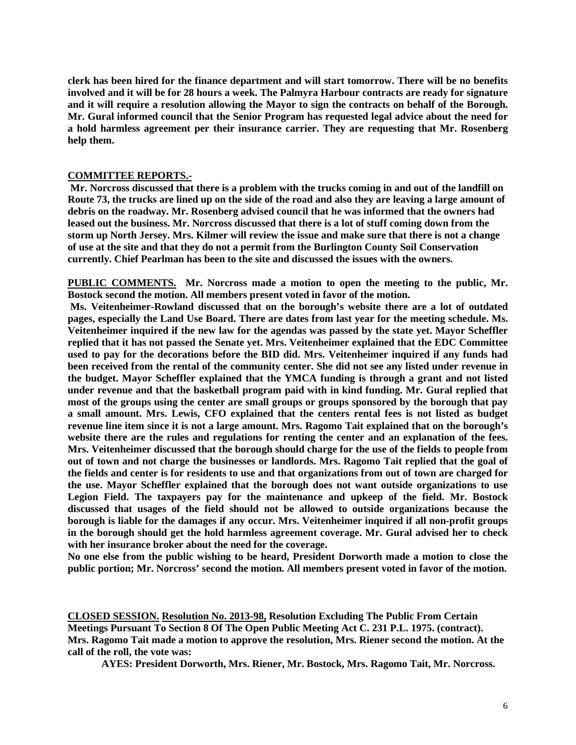**clerk has been hired for the finance department and will start tomorrow. There will be no benefits involved and it will be for 28 hours a week. The Palmyra Harbour contracts are ready for signature and it will require a resolution allowing the Mayor to sign the contracts on behalf of the Borough. Mr. Gural informed council that the Senior Program has requested legal advice about the need for a hold harmless agreement per their insurance carrier. They are requesting that Mr. Rosenberg help them.** 

## **COMMITTEE REPORTS.-**

**Mr. Norcross discussed that there is a problem with the trucks coming in and out of the landfill on Route 73, the trucks are lined up on the side of the road and also they are leaving a large amount of debris on the roadway. Mr. Rosenberg advised council that he was informed that the owners had leased out the business. Mr. Norcross discussed that there is a lot of stuff coming down from the storm up North Jersey. Mrs. Kilmer will review the issue and make sure that there is not a change of use at the site and that they do not a permit from the Burlington County Soil Conservation currently. Chief Pearlman has been to the site and discussed the issues with the owners.** 

**PUBLIC COMMENTS. Mr. Norcross made a motion to open the meeting to the public, Mr. Bostock second the motion. All members present voted in favor of the motion.**

**Ms. Veitenheimer-Rowland discussed that on the borough's website there are a lot of outdated pages, especially the Land Use Board. There are dates from last year for the meeting schedule. Ms. Veitenheimer inquired if the new law for the agendas was passed by the state yet. Mayor Scheffler replied that it has not passed the Senate yet. Mrs. Veitenheimer explained that the EDC Committee used to pay for the decorations before the BID did. Mrs. Veitenheimer inquired if any funds had been received from the rental of the community center. She did not see any listed under revenue in the budget. Mayor Scheffler explained that the YMCA funding is through a grant and not listed under revenue and that the basketball program paid with in kind funding. Mr. Gural replied that most of the groups using the center are small groups or groups sponsored by the borough that pay a small amount. Mrs. Lewis, CFO explained that the centers rental fees is not listed as budget revenue line item since it is not a large amount. Mrs. Ragomo Tait explained that on the borough's website there are the rules and regulations for renting the center and an explanation of the fees. Mrs. Veitenheimer discussed that the borough should charge for the use of the fields to people from out of town and not charge the businesses or landlords. Mrs. Ragomo Tait replied that the goal of the fields and center is for residents to use and that organizations from out of town are charged for the use. Mayor Scheffler explained that the borough does not want outside organizations to use Legion Field. The taxpayers pay for the maintenance and upkeep of the field. Mr. Bostock discussed that usages of the field should not be allowed to outside organizations because the borough is liable for the damages if any occur. Mrs. Veitenheimer inquired if all non-profit groups in the borough should get the hold harmless agreement coverage. Mr. Gural advised her to check with her insurance broker about the need for the coverage.** 

**No one else from the public wishing to be heard, President Dorworth made a motion to close the public portion; Mr. Norcross' second the motion. All members present voted in favor of the motion.** 

**CLOSED SESSION. Resolution No. 2013-98, Resolution Excluding The Public From Certain Meetings Pursuant To Section 8 Of The Open Public Meeting Act C. 231 P.L. 1975. (contract). Mrs. Ragomo Tait made a motion to approve the resolution, Mrs. Riener second the motion. At the call of the roll, the vote was:**

**AYES: President Dorworth, Mrs. Riener, Mr. Bostock, Mrs. Ragomo Tait, Mr. Norcross.**